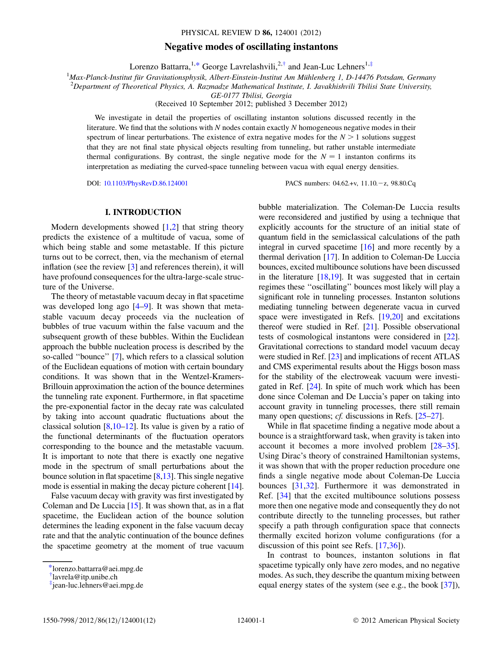#### PHYSICAL REVIEW D 86, 124001 (2012)

# Negative modes of oscillating instantons

Lorenzo Battarra,<sup>1[,\\*](#page-0-0)</sup> George Lavrelashvili,<sup>2[,†](#page-0-1)</sup> and Jean-Luc Lehners<sup>1[,‡](#page-0-2)</sup>

<span id="page-0-3"></span><sup>1</sup>Max-Planck-Institut für Gravitationsphysik, Albert-Einstein-Institut Am Mühlenberg 1, D-14476 Potsdam, Germany<br><sup>2</sup>Denartment of Theoretical Physics, A. Parmades Mathematical Institute, L. Iqualihishvili Thilisi State U

 $^{2}$ Department of Theoretical Physics, A. Razmadze Mathematical Institute, I. Javakhishvili Tbilisi State University,

GE-0177 Tbilisi, Georgia

(Received 10 September 2012; published 3 December 2012)

We investigate in detail the properties of oscillating instanton solutions discussed recently in the literature. We find that the solutions with  $N$  nodes contain exactly  $N$  homogeneous negative modes in their spectrum of linear perturbations. The existence of extra negative modes for the  $N > 1$  solutions suggest that they are not final state physical objects resulting from tunneling, but rather unstable intermediate thermal configurations. By contrast, the single negative mode for the  $N = 1$  instanton confirms its interpretation as mediating the curved-space tunneling between vacua with equal energy densities.

DOI: [10.1103/PhysRevD.86.124001](http://dx.doi.org/10.1103/PhysRevD.86.124001) PACS numbers: 04.62.+v, 11.10.-z, 98.80.Cq

# I. INTRODUCTION

Modern developments showed  $[1,2]$  $[1,2]$  $[1,2]$  that string theory predicts the existence of a multitude of vacua, some of which being stable and some metastable. If this picture turns out to be correct, then, via the mechanism of eternal inflation (see the review [\[3](#page-10-2)] and references therein), it will have profound consequences for the ultra-large-scale structure of the Universe.

The theory of metastable vacuum decay in flat spacetime was developed long ago [[4](#page-10-3)[–9\]](#page-10-4). It was shown that metastable vacuum decay proceeds via the nucleation of bubbles of true vacuum within the false vacuum and the subsequent growth of these bubbles. Within the Euclidean approach the bubble nucleation process is described by the so-called ''bounce'' [[7\]](#page-10-5), which refers to a classical solution of the Euclidean equations of motion with certain boundary conditions. It was shown that in the Wentzel-Kramers-Brillouin approximation the action of the bounce determines the tunneling rate exponent. Furthermore, in flat spacetime the pre-exponential factor in the decay rate was calculated by taking into account quadratic fluctuations about the classical solution  $[8,10-12]$  $[8,10-12]$  $[8,10-12]$  $[8,10-12]$ . Its value is given by a ratio of the functional determinants of the fluctuation operators corresponding to the bounce and the metastable vacuum. It is important to note that there is exactly one negative mode in the spectrum of small perturbations about the bounce solution in flat spacetime [\[8](#page-10-6),[13](#page-10-9)]. This single negative mode is essential in making the decay picture coherent [[14](#page-10-10)].

False vacuum decay with gravity was first investigated by Coleman and De Luccia [\[15](#page-10-11)]. It was shown that, as in a flat spacetime, the Euclidean action of the bounce solution determines the leading exponent in the false vacuum decay rate and that the analytic continuation of the bounce defines the spacetime geometry at the moment of true vacuum

bubble materialization. The Coleman-De Luccia results were reconsidered and justified by using a technique that explicitly accounts for the structure of an initial state of quantum field in the semiclassical calculations of the path integral in curved spacetime [\[16\]](#page-10-12) and more recently by a thermal derivation [\[17](#page-10-13)]. In addition to Coleman-De Luccia bounces, excited multibounce solutions have been discussed in the literature  $[18,19]$  $[18,19]$  $[18,19]$ . It was suggested that in certain regimes these ''oscillating'' bounces most likely will play a significant role in tunneling processes. Instanton solutions mediating tunneling between degenerate vacua in curved space were investigated in Refs. [\[19,](#page-10-15)[20](#page-10-16)] and excitations thereof were studied in Ref. [\[21\]](#page-10-17). Possible observational tests of cosmological instantons were considered in [[22](#page-10-18)]. Gravitational corrections to standard model vacuum decay were studied in Ref. [\[23](#page-10-19)] and implications of recent ATLAS and CMS experimental results about the Higgs boson mass for the stability of the electroweak vacuum were investigated in Ref. [[24\]](#page-10-20). In spite of much work which has been done since Coleman and De Luccia's paper on taking into account gravity in tunneling processes, there still remain many open questions; *cf.* discussions in Refs. [\[25](#page-10-21)–[27\]](#page-11-0).

While in flat spacetime finding a negative mode about a bounce is a straightforward task, when gravity is taken into account it becomes a more involved problem [[28](#page-11-1)–[35\]](#page-11-2). Using Dirac's theory of constrained Hamiltonian systems, it was shown that with the proper reduction procedure one finds a single negative mode about Coleman-De Luccia bounces [\[31,](#page-11-3)[32\]](#page-11-4). Furthermore it was demonstrated in Ref. [\[34\]](#page-11-5) that the excited multibounce solutions possess more then one negative mode and consequently they do not contribute directly to the tunneling processes, but rather specify a path through configuration space that connects thermally excited horizon volume configurations (for a discussion of this point see Refs. [[17](#page-10-13),[36](#page-11-6)]).

In contrast to bounces, instanton solutions in flat spacetime typically only have zero modes, and no negative modes. As such, they describe the quantum mixing between equal energy states of the system (see e.g., the book [\[37\]](#page-11-7)),

<span id="page-0-0"></span>[<sup>\\*</sup>l](#page-0-3)orenzo.battarra@aei.mpg.de

<span id="page-0-1"></span>[<sup>†</sup>](#page-0-3) lavrela@itp.unibe.ch

<span id="page-0-2"></span>[<sup>‡</sup>](#page-0-3) jean-luc.lehners@aei.mpg.de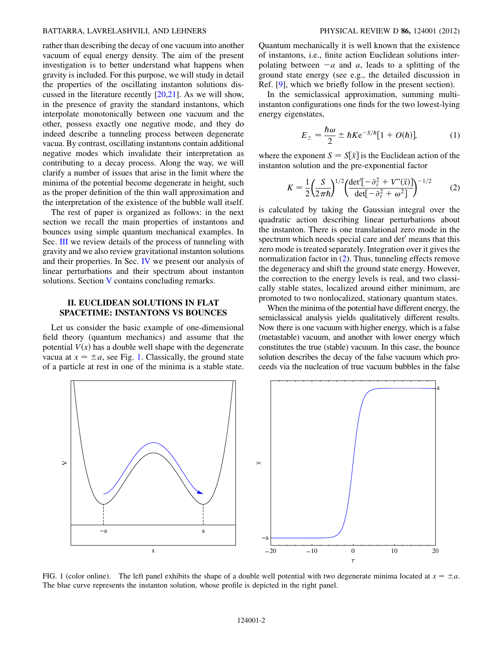rather than describing the decay of one vacuum into another vacuum of equal energy density. The aim of the present investigation is to better understand what happens when gravity is included. For this purpose, we will study in detail the properties of the oscillating instanton solutions discussed in the literature recently [\[20](#page-10-16)[,21\]](#page-10-17). As we will show, in the presence of gravity the standard instantons, which interpolate monotonically between one vacuum and the other, possess exactly one negative mode, and they do indeed describe a tunneling process between degenerate vacua. By contrast, oscillating instantons contain additional negative modes which invalidate their interpretation as contributing to a decay process. Along the way, we will clarify a number of issues that arise in the limit where the minima of the potential become degenerate in height, such as the proper definition of the thin wall approximation and the interpretation of the existence of the bubble wall itself.

The rest of paper is organized as follows: in the next section we recall the main properties of instantons and bounces using simple quantum mechanical examples. In Sec. [III](#page-2-0) we review details of the process of tunneling with gravity and we also review gravitational instanton solutions and their properties. In Sec. [IV](#page-7-0) we present our analysis of linear perturbations and their spectrum about instanton solutions. Section [V](#page-9-0) contains concluding remarks.

## II. EUCLIDEAN SOLUTIONS IN FLAT SPACETIME: INSTANTONS VS BOUNCES

Let us consider the basic example of one-dimensional field theory (quantum mechanics) and assume that the potential  $V(x)$  has a double well shape with the degenerate vacua at  $x = \pm a$ , see Fig. [1.](#page-1-0) Classically, the ground state of a particle at rest in one of the minima is a stable state. Quantum mechanically it is well known that the existence of instantons, i.e., finite action Euclidean solutions interpolating between  $-a$  and a, leads to a splitting of the ground state energy (see e.g., the detailed discussion in Ref. [\[9](#page-10-4)], which we briefly follow in the present section).

In the semiclassical approximation, summing multiinstanton configurations one finds for the two lowest-lying energy eigenstates,

$$
E_{\pm} = \frac{\hbar \omega}{2} \pm \hbar K e^{-S/\hbar} [1 + O(\hbar)], \tag{1}
$$

<span id="page-1-1"></span>where the exponent  $S = S[\bar{x}]$  is the Euclidean action of the instanton solution and the pre-exponential factor

$$
K = \frac{1}{2} \left( \frac{S}{2\pi\hbar} \right)^{1/2} \left( \frac{\det'[-\partial_t^2 + V''(\bar{x})]}{\det[-\partial_t^2 + \omega^2]} \right)^{-1/2}
$$
(2)

is calculated by taking the Gaussian integral over the quadratic action describing linear perturbations about the instanton. There is one translational zero mode in the spectrum which needs special care and det<sup>'</sup> means that this zero mode is treated separately. Integration over it gives the normalization factor in ([2](#page-1-1)). Thus, tunneling effects remove the degeneracy and shift the ground state energy. However, the correction to the energy levels is real, and two classically stable states, localized around either minimum, are promoted to two nonlocalized, stationary quantum states.

When the minima of the potential have different energy, the semiclassical analysis yields qualitatively different results. Now there is one vacuum with higher energy, which is a false (metastable) vacuum, and another with lower energy which constitutes the true (stable) vacuum. In this case, the bounce solution describes the decay of the false vacuum which proceeds via the nucleation of true vacuum bubbles in the false

<span id="page-1-0"></span>

FIG. 1 (color online). The left panel exhibits the shape of a double well potential with two degenerate minima located at  $x = \pm a$ . The blue curve represents the instanton solution, whose profile is depicted in the right panel.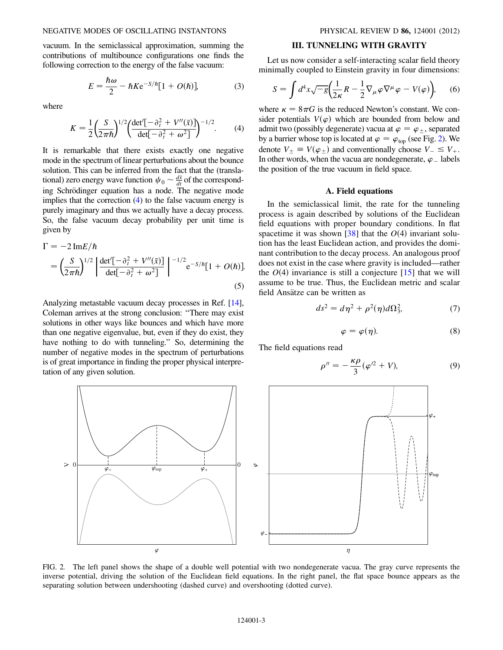#### NEGATIVE MODES OF OSCILLATING INSTANTONS PHYSICAL REVIEW D 86, 124001 (2012)

vacuum. In the semiclassical approximation, summing the contributions of multibounce configurations one finds the following correction to the energy of the false vacuum:

$$
E = \frac{\hbar \omega}{2} - \hbar K e^{-S/\hbar} [1 + O(\hbar)], \tag{3}
$$

<span id="page-2-1"></span>where

$$
K = \frac{1}{2} \left( \frac{S}{2\pi\hbar} \right)^{1/2} \left( \frac{\det \left( -\partial_t^2 + V''(\bar{x}) \right)}{\det \left[ -\partial_t^2 + \omega^2 \right]} \right)^{-1/2} . \tag{4}
$$

It is remarkable that there exists exactly one negative mode in the spectrum of linear perturbations about the bounce solution. This can be inferred from the fact that the (translational) zero energy wave function  $\psi_0 \sim \frac{d\bar{x}}{dt}$  of the corresponding Schrödinger equation has a node. The negative mode implies that the correction  $(4)$  $(4)$  to the false vacuum energy is purely imaginary and thus we actually have a decay process. So, the false vacuum decay probability per unit time is given by

$$
\Gamma = -2 \operatorname{Im} E/\hbar
$$
  
=  $\left(\frac{S}{2\pi\hbar}\right)^{1/2} \left| \frac{\det[-\partial_t^2 + V''(\bar{x})]}{\det[-\partial_t^2 + \omega^2]} \right|^{-1/2} e^{-S/\hbar} [1 + O(\hbar)].$  (5)

Analyzing metastable vacuum decay processes in Ref. [\[14](#page-10-10)], Coleman arrives at the strong conclusion: ''There may exist solutions in other ways like bounces and which have more than one negative eigenvalue, but, even if they do exist, they have nothing to do with tunneling.'' So, determining the number of negative modes in the spectrum of perturbations is of great importance in finding the proper physical interpretation of any given solution.

## III. TUNNELING WITH GRAVITY

<span id="page-2-0"></span>Let us now consider a self-interacting scalar field theory minimally coupled to Einstein gravity in four dimensions:

$$
S = \int d^4x \sqrt{-g} \left(\frac{1}{2\kappa} R - \frac{1}{2} \nabla_\mu \varphi \nabla^\mu \varphi - V(\varphi) \right), \tag{6}
$$

where  $\kappa = 8\pi G$  is the reduced Newton's constant. We consider potentials  $V(\varphi)$  which are bounded from below and admit two (possibly degenerate) vacua at  $\varphi = \varphi_{\pm}$ , separated by a barrier whose top is located at  $\varphi = \varphi_{top}$  (see Fig. [2](#page-2-2)). We denote  $V_{\pm} \equiv V(\varphi_{\pm})$  and conventionally choose  $V_{-} \leq V_{+}$ . In other words, when the vacua are nondegenerate,  $\varphi$  labels the position of the true vacuum in field space.

### A. Field equations

In the semiclassical limit, the rate for the tunneling process is again described by solutions of the Euclidean field equations with proper boundary conditions. In flat spacetime it was shown [[38](#page-11-8)] that the  $O(4)$  invariant solution has the least Euclidean action, and provides the dominant contribution to the decay process. An analogous proof does not exist in the case where gravity is included—rather the  $O(4)$  invariance is still a conjecture [\[15\]](#page-10-11) that we will assume to be true. Thus, the Euclidean metric and scalar field Ansätze can be written as

$$
ds^2 = d\eta^2 + \rho^2(\eta)d\Omega_3^2,\tag{7}
$$

$$
\varphi = \varphi(\eta). \tag{8}
$$

<span id="page-2-3"></span>The field equations read

$$
\rho'' = -\frac{\kappa \rho}{3} (\varphi'^2 + V), \tag{9}
$$

<span id="page-2-2"></span>

FIG. 2. The left panel shows the shape of a double well potential with two nondegenerate vacua. The gray curve represents the inverse potential, driving the solution of the Euclidean field equations. In the right panel, the flat space bounce appears as the separating solution between undershooting (dashed curve) and overshooting (dotted curve).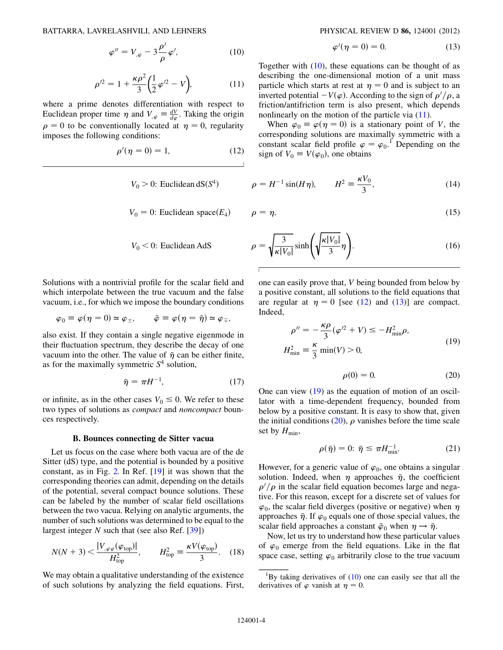$$
\varphi'' = V_{,\varphi} - 3\frac{\rho'}{\rho}\varphi',\tag{10}
$$

$$
\rho'^2 = 1 + \frac{\kappa \rho^2}{3} \left(\frac{1}{2} \varphi'^2 - V\right),\tag{11}
$$

<span id="page-3-2"></span><span id="page-3-0"></span>where a prime denotes differentiation with respect to Euclidean proper time  $\eta$  and  $V_{,\varphi} \equiv \frac{dV}{d\varphi}$ . Taking the origin  $\rho = 0$  to be conventionally located at  $\eta = 0$ , regularity imposes the following conditions:

$$
\rho'(\eta = 0) = 1,\tag{12}
$$

 $V_0 > 0$ : Euclidean dS $(S^4)$ 

 $V_0 = 0$ : Euclidean space $(E_4)$ 

$$
\varphi'(\eta = 0) = 0. \tag{13}
$$

<span id="page-3-1"></span>Together with ([10](#page-2-3)), these equations can be thought of as describing the one-dimensional motion of a unit mass particle which starts at rest at  $\eta = 0$  and is subject to an inverted potential  $-V(\varphi)$ . According to the sign of  $\rho'/\rho$ , a friction/antifriction term is also present, which depends nonlinearly on the motion of the particle via  $(11)$ .

When  $\varphi_0 \equiv \varphi(\eta = 0)$  is a stationary point of V, the corresponding solutions are maximally symmetric with a constant scalar field profile  $\varphi = \varphi_0$ .<sup>I</sup> Depending on the sign of  $V_0 \equiv V(\varphi_0)$ , one obtains

$$
\rho = H^{-1} \sin(H\eta), \qquad H^2 \equiv \frac{\kappa V_0}{3}, \tag{14}
$$

$$
\rho = \eta,\tag{15}
$$

$$
V_0 < 0: \text{ Euclidean AdS} \qquad \rho =
$$

Solutions with a nontrivial profile for the scalar field and which interpolate between the true vacuum and the false vacuum, i.e., for which we impose the boundary conditions

$$
\varphi_0 \equiv \varphi(\eta = 0) \simeq \varphi_{\pm}, \qquad \bar{\varphi} \equiv \varphi(\eta = \bar{\eta}) \simeq \varphi_{\mp},
$$

also exist. If they contain a single negative eigenmode in their fluctuation spectrum, they describe the decay of one vacuum into the other. The value of  $\bar{\eta}$  can be either finite, as for the maximally symmetric  $S<sup>4</sup>$  solution,

$$
\bar{\eta} = \pi H^{-1},\tag{17}
$$

or infinite, as in the other cases  $V_0 \leq 0$ . We refer to these two types of solutions as compact and noncompact bounces respectively.

#### B. Bounces connecting de Sitter vacua

Let us focus on the case where both vacua are of the de Sitter (dS) type, and the potential is bounded by a positive constant, as in Fig. [2.](#page-2-2) In Ref. [[19](#page-10-15)] it was shown that the corresponding theories can admit, depending on the details of the potential, several compact bounce solutions. These can be labeled by the number of scalar field oscillations between the two vacua. Relying on analytic arguments, the number of such solutions was determined to be equal to the largest integer N such that (see also Ref.  $[39]$ )

<span id="page-3-5"></span>
$$
N(N+3) < \frac{|V_{,\varphi\varphi}(\varphi_{\text{top}})|}{H_{\text{top}}^2}, \qquad H_{\text{top}}^2 \equiv \frac{\kappa V(\varphi_{\text{top}})}{3}.\tag{18}
$$

We may obtain a qualitative understanding of the existence of such solutions by analyzing the field equations. First,

$$
\rho = \sqrt{\frac{3}{\kappa |V_0|}} \sinh\left(\sqrt{\frac{\kappa |V_0|}{3}}\eta\right).
$$
 (16)

<span id="page-3-4"></span>one can easily prove that, V being bounded from below by a positive constant, all solutions to the field equations that are regular at  $\eta = 0$  [see [\(12\)](#page-3-1) and [\(13\)](#page-3-2)] are compact. Indeed,

$$
\rho'' = -\frac{\kappa \rho}{3} (\varphi'^2 + V) \le -H_{\min}^2 \rho,
$$
  

$$
H_{\min}^2 \equiv \frac{\kappa}{3} \min(V) > 0,
$$
 (19)

$$
\rho(0) = 0. \tag{20}
$$

<span id="page-3-3"></span>One can view  $(19)$  $(19)$  $(19)$  as the equation of motion of an oscillator with a time-dependent frequency, bounded from below by a positive constant. It is easy to show that, given the initial conditions  $(20)$  $(20)$  $(20)$ ,  $\rho$  vanishes before the time scale set by  $H_{\text{min}}$ ,

$$
\rho(\bar{\eta}) = 0: \bar{\eta} \le \pi H_{\text{min}}^{-1}.
$$
\n(21)

However, for a generic value of  $\varphi_0$ , one obtains a singular solution. Indeed, when  $\eta$  approaches  $\bar{\eta}$ , the coefficient  $\rho'/\rho$  in the scalar field equation becomes large and negative. For this reason, except for a discrete set of values for  $\varphi_0$ , the scalar field diverges (positive or negative) when  $\eta$ approaches  $\bar{\eta}$ . If  $\varphi_0$  equals one of those special values, the scalar field approaches a constant  $\bar{\varphi}_0$  when  $\eta \to \bar{\eta}$ .

Now, let us try to understand how these particular values of  $\varphi_0$  emerge from the field equations. Like in the flat space case, setting  $\varphi_0$  arbitrarily close to the true vacuum

<sup>&</sup>lt;sup>1</sup>By taking derivatives of  $(10)$  one can easily see that all the derivatives of  $\varphi$  vanish at  $\eta = 0$ .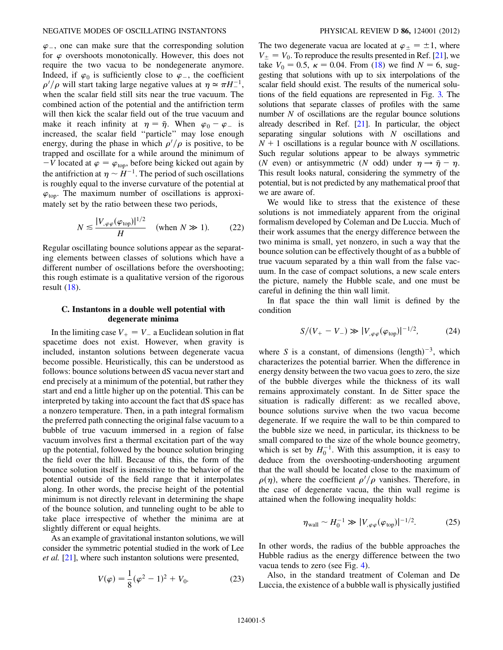$\varphi$ , one can make sure that the corresponding solution for  $\varphi$  overshoots monotonically. However, this does not require the two vacua to be nondegenerate anymore. Indeed, if  $\varphi_0$  is sufficiently close to  $\varphi$ , the coefficient  $\rho'/\rho$  will start taking large negative values at  $\eta \simeq \pi H_0^{-1}$ , when the scalar field still sits near the true vacuum. The combined action of the potential and the antifriction term will then kick the scalar field out of the true vacuum and make it reach infinity at  $\eta = \bar{\eta}$ . When  $\varphi_0 - \varphi_-$  is increased, the scalar field ''particle'' may lose enough energy, during the phase in which  $\rho'/\rho$  is positive, to be trapped and oscillate for a while around the minimum of  $-V$  located at  $\varphi = \varphi_{\text{top}}$ , before being kicked out again by the antifriction at  $\eta \sim H^{-1}$ . The period of such oscillations is roughly equal to the inverse curvature of the potential at  $\varphi$ <sub>top</sub>. The maximum number of oscillations is approximately set by the ratio between these two periods,

$$
N \lesssim \frac{|V_{,\varphi\varphi}(\varphi_{\text{top}})|^{1/2}}{H} \quad \text{(when } N \gg 1\text{)}.
$$
 (22)

Regular oscillating bounce solutions appear as the separating elements between classes of solutions which have a different number of oscillations before the overshooting; this rough estimate is a qualitative version of the rigorous result ([18](#page-3-5)).

### C. Instantons in a double well potential with degenerate minima

In the limiting case  $V_+ = V_-$  a Euclidean solution in flat spacetime does not exist. However, when gravity is included, instanton solutions between degenerate vacua become possible. Heuristically, this can be understood as follows: bounce solutions between dS vacua never start and end precisely at a minimum of the potential, but rather they start and end a little higher up on the potential. This can be interpreted by taking into account the fact that dS space has a nonzero temperature. Then, in a path integral formalism the preferred path connecting the original false vacuum to a bubble of true vacuum immersed in a region of false vacuum involves first a thermal excitation part of the way up the potential, followed by the bounce solution bringing the field over the hill. Because of this, the form of the bounce solution itself is insensitive to the behavior of the potential outside of the field range that it interpolates along. In other words, the precise height of the potential minimum is not directly relevant in determining the shape of the bounce solution, and tunneling ought to be able to take place irrespective of whether the minima are at slightly different or equal heights.

<span id="page-4-0"></span>As an example of gravitational instanton solutions, we will consider the symmetric potential studied in the work of Lee et al. [\[21](#page-10-17)], where such instanton solutions were presented,

$$
V(\varphi) = \frac{1}{8}(\varphi^2 - 1)^2 + V_0.
$$
 (23)

The two degenerate vacua are located at  $\varphi_{\pm} = \pm 1$ , where  $V_{\pm} = V_0$ . To reproduce the results presented in Ref. [\[21](#page-10-17)], we take  $V_0 = 0.5$ ,  $\kappa = 0.04$ . From [\(18\)](#page-3-5) we find  $N = 6$ , suggesting that solutions with up to six interpolations of the scalar field should exist. The results of the numerical solutions of the field equations are represented in Fig. [3.](#page-5-0) The solutions that separate classes of profiles with the same number  $N$  of oscillations are the regular bounce solutions already described in Ref. [[21\]](#page-10-17). In particular, the object separating singular solutions with  $N$  oscillations and  $N + 1$  oscillations is a regular bounce with N oscillations. Such regular solutions appear to be always symmetric (*N* even) or antisymmetric (*N* odd) under  $\eta \rightarrow \bar{\eta} - \eta$ . This result looks natural, considering the symmetry of the potential, but is not predicted by any mathematical proof that we are aware of.

We would like to stress that the existence of these solutions is not immediately apparent from the original formalism developed by Coleman and De Luccia. Much of their work assumes that the energy difference between the two minima is small, yet nonzero, in such a way that the bounce solution can be effectively thought of as a bubble of true vacuum separated by a thin wall from the false vacuum. In the case of compact solutions, a new scale enters the picture, namely the Hubble scale, and one must be careful in defining the thin wall limit.

In flat space the thin wall limit is defined by the condition

$$
S/(V_{+}-V_{-}) \gg |V_{,\varphi\varphi}(\varphi_{\text{top}})|^{-1/2}, \tag{24}
$$

where S is a constant, of dimensions (length)<sup>-3</sup>, which characterizes the potential barrier. When the difference in energy density between the two vacua goes to zero, the size of the bubble diverges while the thickness of its wall remains approximately constant. In de Sitter space the situation is radically different: as we recalled above, bounce solutions survive when the two vacua become degenerate. If we require the wall to be thin compared to the bubble size we need, in particular, its thickness to be small compared to the size of the whole bounce geometry, which is set by  $H_0^{-1}$ . With this assumption, it is easy to deduce from the overshooting-undershooting argument that the wall should be located close to the maximum of  $\rho(\eta)$ , where the coefficient  $\rho'/\rho$  vanishes. Therefore, in the case of degenerate vacua, the thin wall regime is attained when the following inequality holds:

$$
\eta_{\text{wall}} \sim H_0^{-1} \gg |V_{,\varphi\varphi}(\varphi_{\text{top}})|^{-1/2}.
$$
 (25)

In other words, the radius of the bubble approaches the Hubble radius as the energy difference between the two vacua tends to zero (see Fig. [4](#page-6-0)).

Also, in the standard treatment of Coleman and De Luccia, the existence of a bubble wall is physically justified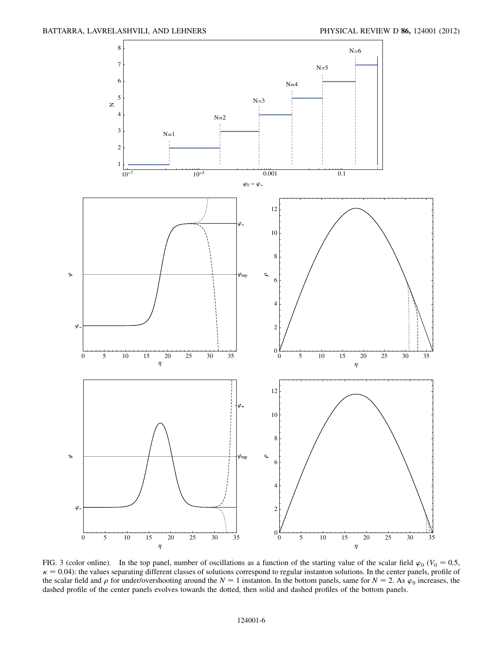<span id="page-5-0"></span>

FIG. 3 (color online). In the top panel, number of oscillations as a function of the starting value of the scalar field  $\varphi_0$  (V<sub>0</sub> = 0.5,  $\kappa = 0.04$ ): the values separating different classes of solutions correspond to regular instanton solutions. In the center panels, profile of the scalar field and  $\rho$  for under/overshooting around the  $N = 1$  instanton. In the bottom panels, same for  $N = 2$ . As  $\varphi_0$  increases, the dashed profile of the center panels evolves towards the dotted, then solid and dashed profiles of the bottom panels.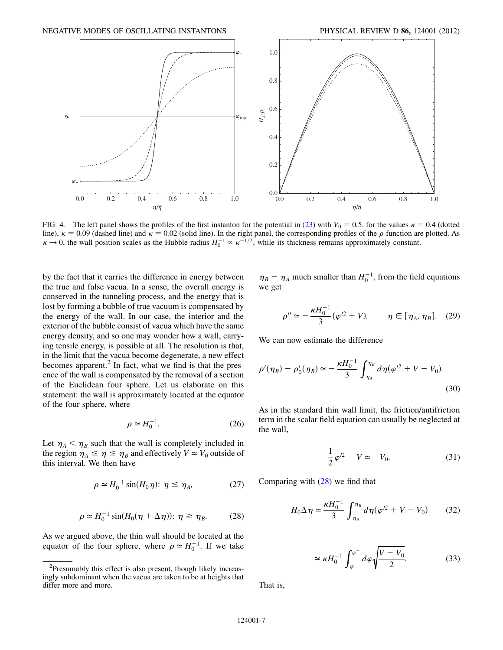<span id="page-6-0"></span>

FIG. 4. The left panel shows the profiles of the first instanton for the potential in [\(23\)](#page-4-0) with  $V_0 = 0.5$ , for the values  $\kappa = 0.4$  (dotted line),  $\kappa = 0.09$  (dashed line) and  $\kappa = 0.02$  (solid line). In the right panel, the corresponding profiles of the  $\rho$  function are plotted. As  $\kappa \to 0$ , the wall position scales as the Hubble radius  $H_0^{-1} \propto \kappa^{-1/2}$ , while its thickness remains approximately constant.

by the fact that it carries the difference in energy between the true and false vacua. In a sense, the overall energy is conserved in the tunneling process, and the energy that is lost by forming a bubble of true vacuum is compensated by the energy of the wall. In our case, the interior and the exterior of the bubble consist of vacua which have the same energy density, and so one may wonder how a wall, carrying tensile energy, is possible at all. The resolution is that, in the limit that the vacua become degenerate, a new effect becomes apparent. $<sup>2</sup>$  In fact, what we find is that the pres-</sup> ence of the wall is compensated by the removal of a section of the Euclidean four sphere. Let us elaborate on this statement: the wall is approximately located at the equator of the four sphere, where

$$
\rho \simeq H_0^{-1}.\tag{26}
$$

<span id="page-6-1"></span>Let  $\eta_A < \eta_B$  such that the wall is completely included in the region  $\eta_A \leq \eta \leq \eta_B$  and effectively  $V \approx V_0$  outside of this interval. We then have

$$
\rho \simeq H_0^{-1} \sin(H_0 \eta); \ \eta \le \eta_A, \tag{27}
$$

$$
\rho \simeq H_0^{-1} \sin(H_0(\eta + \Delta \eta)) \colon \eta \ge \eta_B. \tag{28}
$$

As we argued above, the thin wall should be located at the equator of the four sphere, where  $\rho \approx H_0^{-1}$ . If we take

 $\eta_B - \eta_A$  much smaller than  $H_0^{-1}$ , from the field equations we get

$$
\rho'' \simeq -\frac{\kappa H_0^{-1}}{3} (\varphi'^2 + V), \qquad \eta \in [\eta_A, \eta_B]. \quad (29)
$$

We can now estimate the difference

$$
\rho'(\eta_B) - \rho'_0(\eta_B) \simeq -\frac{\kappa H_0^{-1}}{3} \int_{\eta_A}^{\eta_B} d\eta (\varphi'^2 + V - V_0).
$$
\n(30)

As in the standard thin wall limit, the friction/antifriction term in the scalar field equation can usually be neglected at the wall,

$$
\frac{1}{2}\varphi^2 - V \simeq -V_0. \tag{31}
$$

Comparing with [\(28\)](#page-6-1) we find that

$$
H_0 \Delta \eta \simeq \frac{\kappa H_0^{-1}}{3} \int_{\eta_A}^{\eta_B} d\eta (\varphi'^2 + V - V_0) \tag{32}
$$

$$
\simeq \kappa H_0^{-1} \int_{\varphi_-}^{\varphi^+} d\varphi \sqrt{\frac{V - V_0}{2}}.
$$
 (33)

That is,

<sup>&</sup>lt;sup>2</sup>Presumably this effect is also present, though likely increasingly subdominant when the vacua are taken to be at heights that differ more and more.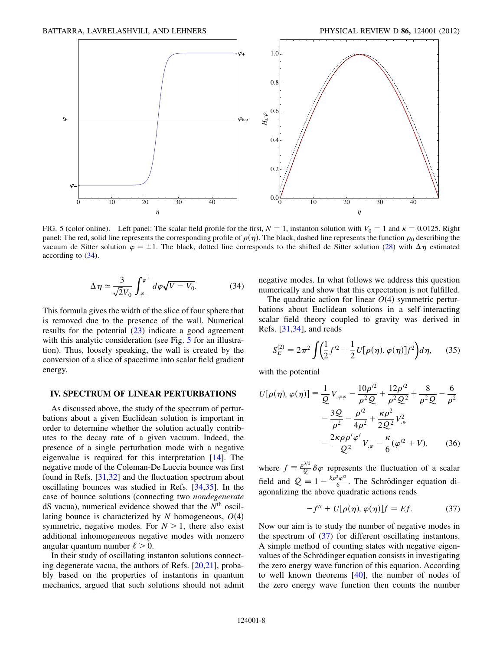<span id="page-7-1"></span>

FIG. 5 (color online). Left panel: The scalar field profile for the first,  $N = 1$ , instanton solution with  $V_0 = 1$  and  $\kappa = 0.0125$ . Right panel: The red, solid line represents the corresponding profile of  $\rho(\eta)$ . The black, dashed line represents the function  $\rho_0$  describing the vacuum de Sitter solution  $\varphi = \pm 1$ . The black, dotted line corresponds to the shifted de Sitter solution ([28](#page-6-1)) with  $\Delta \eta$  estimated according to ([34](#page-7-3)).

$$
\Delta \eta \simeq \frac{3}{\sqrt{2}V_0} \int_{\varphi_{-}}^{\varphi^{+}} d\varphi \sqrt{V - V_0}.
$$
 (34)

<span id="page-7-3"></span>This formula gives the width of the slice of four sphere that is removed due to the presence of the wall. Numerical results for the potential ([23\)](#page-4-0) indicate a good agreement with this analytic consideration (see Fig. [5](#page-7-1) for an illustration). Thus, loosely speaking, the wall is created by the conversion of a slice of spacetime into scalar field gradient energy.

## <span id="page-7-0"></span>IV. SPECTRUM OF LINEAR PERTURBATIONS

As discussed above, the study of the spectrum of perturbations about a given Euclidean solution is important in order to determine whether the solution actually contributes to the decay rate of a given vacuum. Indeed, the presence of a single perturbation mode with a negative eigenvalue is required for this interpretation [[14](#page-10-10)]. The negative mode of the Coleman-De Luccia bounce was first found in Refs. [\[31](#page-11-3)[,32\]](#page-11-4) and the fluctuation spectrum about oscillating bounces was studied in Refs. [[34](#page-11-5),[35](#page-11-2)]. In the case of bounce solutions (connecting two nondegenerate dS vacua), numerical evidence showed that the  $N<sup>th</sup>$  oscillating bounce is characterized by N homogeneous,  $O(4)$ symmetric, negative modes. For  $N > 1$ , there also exist additional inhomogeneous negative modes with nonzero angular quantum number  $\ell > 0$ .

In their study of oscillating instanton solutions connecting degenerate vacua, the authors of Refs. [[20](#page-10-16)[,21\]](#page-10-17), probably based on the properties of instantons in quantum mechanics, argued that such solutions should not admit negative modes. In what follows we address this question numerically and show that this expectation is not fulfilled.

The quadratic action for linear  $O(4)$  symmetric perturbations about Euclidean solutions in a self-interacting scalar field theory coupled to gravity was derived in Refs. [\[31](#page-11-3)[,34\]](#page-11-5), and reads

$$
S_E^{(2)} = 2\pi^2 \int \left(\frac{1}{2}f'^2 + \frac{1}{2}U[\rho(\eta), \varphi(\eta)]f^2\right) d\eta, \qquad (35)
$$

with the potential

$$
U[\rho(\eta), \varphi(\eta)] \equiv \frac{1}{Q} V_{,\varphi\varphi} - \frac{10\rho'^2}{\rho^2 Q} + \frac{12\rho'^2}{\rho^2 Q^2} + \frac{8}{\rho^2 Q} - \frac{6}{\rho^2} - \frac{3Q}{\rho^2} - \frac{\rho'^2}{4\rho^2} + \frac{\kappa \rho^2}{2Q^2} V_{,\varphi}^2 - \frac{2\kappa \rho \rho' \varphi'}{Q^2} V_{,\varphi} - \frac{\kappa}{6} (\varphi'^2 + V),
$$
 (36)

<span id="page-7-2"></span>where  $f \equiv \frac{\rho^{3/2}}{Q} \delta \varphi$  represents the fluctuation of a scalar field and  $Q = 1 - \frac{k \rho^2 \varphi^2}{6}$ . The Schrödinger equation diagonalizing the above quadratic actions reads

$$
-f'' + U[\rho(\eta), \varphi(\eta)]f = Ef.
$$
 (37)

Now our aim is to study the number of negative modes in the spectrum of ([37](#page-7-2)) for different oscillating instantons. A simple method of counting states with negative eigenvalues of the Schrödinger equation consists in investigating the zero energy wave function of this equation. According to well known theorems [\[40\]](#page-11-10), the number of nodes of the zero energy wave function then counts the number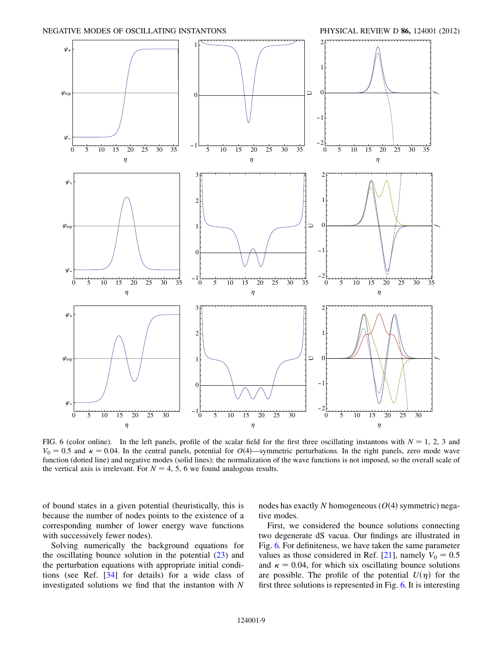<span id="page-8-0"></span>

FIG. 6 (color online). In the left panels, profile of the scalar field for the first three oscillating instantons with  $N = 1, 2, 3$  and  $V_0 = 0.5$  and  $\kappa = 0.04$ . In the central panels, potential for O(4)—symmetric perturbations. In the right panels, zero mode wave function (dotted line) and negative modes (solid lines): the normalization of the wave functions is not imposed, so the overall scale of the vertical axis is irrelevant. For  $N = 4, 5, 6$  we found analogous results.

of bound states in a given potential (heuristically, this is because the number of nodes points to the existence of a corresponding number of lower energy wave functions with successively fewer nodes).

Solving numerically the background equations for the oscillating bounce solution in the potential  $(23)$  $(23)$  $(23)$  and the perturbation equations with appropriate initial conditions (see Ref. [\[34\]](#page-11-5) for details) for a wide class of investigated solutions we find that the instanton with  $N$  nodes has exactly N homogeneous ( $O(4)$  symmetric) negative modes.

First, we considered the bounce solutions connecting two degenerate dS vacua. Our findings are illustrated in Fig. [6.](#page-8-0) For definiteness, we have taken the same parameter values as those considered in Ref. [\[21\]](#page-10-17), namely  $V_0 = 0.5$ and  $\kappa = 0.04$ , for which six oscillating bounce solutions are possible. The profile of the potential  $U(\eta)$  for the first three solutions is represented in Fig. [6.](#page-8-0) It is interesting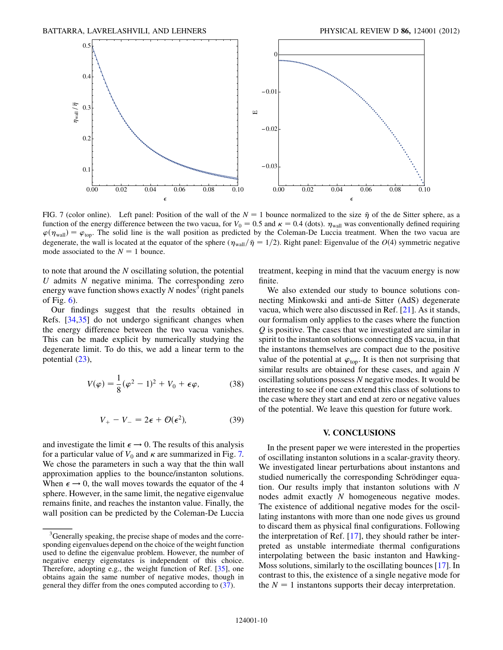<span id="page-9-1"></span>

FIG. 7 (color online). Left panel: Position of the wall of the  $N = 1$  bounce normalized to the size  $\bar{\eta}$  of the de Sitter sphere, as a function of the energy difference between the two vacua, for  $V_0 = 0.5$  and  $\kappa = 0.4$  (dots).  $\eta_{\text{wall}}$  was conventionally defined requiring  $\varphi(\eta_{\text{wall}}) = \varphi_{\text{top}}$ . The solid line is the wall position as predicted by the Coleman-De Luccia treatment. When the two vacua are degenerate, the wall is located at the equator of the sphere ( $\eta_{\text{wall}}/\bar{\eta} = 1/2$ ). Right panel: Eigenvalue of the  $O(4)$  symmetric negative mode associated to the  $N = 1$  bounce.

to note that around the  $N$  oscillating solution, the potential  $U$  admits  $N$  negative minima. The corresponding zero energy wave function shows exactly  $N$  nodes<sup>3</sup> (right panels of Fig.  $6$ ).

Our findings suggest that the results obtained in Refs. [\[34,](#page-11-5)[35\]](#page-11-2) do not undergo significant changes when the energy difference between the two vacua vanishes. This can be made explicit by numerically studying the degenerate limit. To do this, we add a linear term to the potential [\(23\)](#page-4-0),

$$
V(\varphi) = \frac{1}{8}(\varphi^2 - 1)^2 + V_0 + \epsilon \varphi,
$$
 (38)

$$
V_{+} - V_{-} = 2\epsilon + \mathcal{O}(\epsilon^{2}), \qquad (39)
$$

and investigate the limit  $\epsilon \rightarrow 0$ . The results of this analysis for a particular value of  $V_0$  and  $\kappa$  are summarized in Fig. [7.](#page-9-1) We chose the parameters in such a way that the thin wall approximation applies to the bounce/instanton solutions. When  $\epsilon \rightarrow 0$ , the wall moves towards the equator of the 4 sphere. However, in the same limit, the negative eigenvalue remains finite, and reaches the instanton value. Finally, the wall position can be predicted by the Coleman-De Luccia treatment, keeping in mind that the vacuum energy is now finite.

We also extended our study to bounce solutions connecting Minkowski and anti-de Sitter (AdS) degenerate vacua, which were also discussed in Ref. [\[21\]](#page-10-17). As it stands, our formalism only applies to the cases where the function Q is positive. The cases that we investigated are similar in spirit to the instanton solutions connecting dS vacua, in that the instantons themselves are compact due to the positive value of the potential at  $\varphi_{top}$ . It is then not surprising that similar results are obtained for these cases, and again N oscillating solutions possess N negative modes. It would be interesting to see if one can extend this class of solutions to the case where they start and end at zero or negative values of the potential. We leave this question for future work.

### V. CONCLUSIONS

<span id="page-9-0"></span>In the present paper we were interested in the properties of oscillating instanton solutions in a scalar-gravity theory. We investigated linear perturbations about instantons and studied numerically the corresponding Schrödinger equation. Our results imply that instanton solutions with N nodes admit exactly N homogeneous negative modes. The existence of additional negative modes for the oscillating instantons with more than one node gives us ground to discard them as physical final configurations. Following the interpretation of Ref. [\[17](#page-10-13)], they should rather be interpreted as unstable intermediate thermal configurations interpolating between the basic instanton and Hawking-Moss solutions, similarly to the oscillating bounces [[17](#page-10-13)]. In contrast to this, the existence of a single negative mode for the  $N = 1$  instantons supports their decay interpretation.

<sup>&</sup>lt;sup>3</sup>Generally speaking, the precise shape of modes and the corresponding eigenvalues depend on the choice of the weight function used to define the eigenvalue problem. However, the number of negative energy eigenstates is independent of this choice. Therefore, adopting e.g., the weight function of Ref. [[35](#page-11-2)], one obtains again the same number of negative modes, though in general they differ from the ones computed according to [\(37\)](#page-7-2).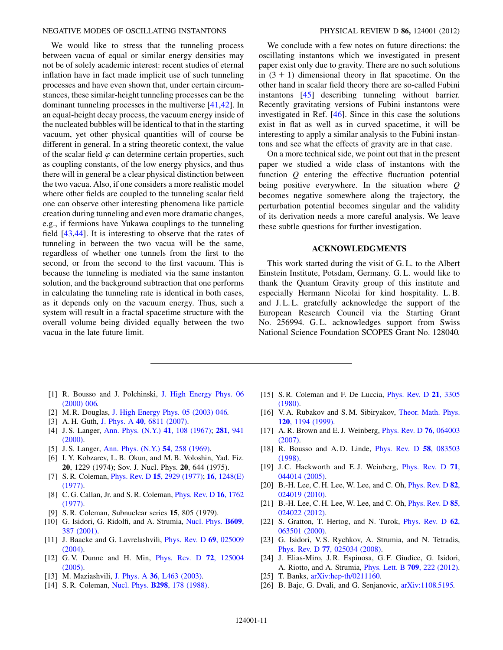### NEGATIVE MODES OF OSCILLATING INSTANTONS PHYSICAL REVIEW D 86, 124001 (2012)

We would like to stress that the tunneling process between vacua of equal or similar energy densities may not be of solely academic interest: recent studies of eternal inflation have in fact made implicit use of such tunneling processes and have even shown that, under certain circumstances, these similar-height tunneling processes can be the dominant tunneling processes in the multiverse [[41](#page-11-11)[,42](#page-11-12)]. In an equal-height decay process, the vacuum energy inside of the nucleated bubbles will be identical to that in the starting vacuum, yet other physical quantities will of course be different in general. In a string theoretic context, the value of the scalar field  $\varphi$  can determine certain properties, such as coupling constants, of the low energy physics, and thus there will in general be a clear physical distinction between the two vacua. Also, if one considers a more realistic model where other fields are coupled to the tunneling scalar field one can observe other interesting phenomena like particle creation during tunneling and even more dramatic changes, e.g., if fermions have Yukawa couplings to the tunneling field [[43](#page-11-13),[44](#page-11-14)]. It is interesting to observe that the rates of tunneling in between the two vacua will be the same, regardless of whether one tunnels from the first to the second, or from the second to the first vacuum. This is because the tunneling is mediated via the same instanton solution, and the background subtraction that one performs in calculating the tunneling rate is identical in both cases, as it depends only on the vacuum energy. Thus, such a system will result in a fractal spacetime structure with the overall volume being divided equally between the two vacua in the late future limit.

We conclude with a few notes on future directions: the oscillating instantons which we investigated in present paper exist only due to gravity. There are no such solutions in  $(3 + 1)$  dimensional theory in flat spacetime. On the other hand in scalar field theory there are so-called Fubini instantons [[45](#page-11-15)] describing tunneling without barrier. Recently gravitating versions of Fubini instantons were investigated in Ref. [[46](#page-11-16)]. Since in this case the solutions exist in flat as well as in curved spacetime, it will be interesting to apply a similar analysis to the Fubini instantons and see what the effects of gravity are in that case.

On a more technical side, we point out that in the present paper we studied a wide class of instantons with the function Q entering the effective fluctuation potential being positive everywhere. In the situation where Q becomes negative somewhere along the trajectory, the perturbation potential becomes singular and the validity of its derivation needs a more careful analysis. We leave these subtle questions for further investigation.

#### ACKNOWLEDGMENTS

This work started during the visit of G. L. to the Albert Einstein Institute, Potsdam, Germany. G. L. would like to thank the Quantum Gravity group of this institute and especially Hermann Nicolai for kind hospitality. L. B. and J. L. L. gratefully acknowledge the support of the European Research Council via the Starting Grant No. 256994. G.L. acknowledges support from Swiss National Science Foundation SCOPES Grant No. 128040.

- <span id="page-10-0"></span>[1] R. Bousso and J. Polchinski, [J. High Energy Phys. 06](http://dx.doi.org/10.1088/1126-6708/2000/06/006) [\(2000\) 006.](http://dx.doi.org/10.1088/1126-6708/2000/06/006)
- <span id="page-10-2"></span><span id="page-10-1"></span>[2] M. R. Douglas, [J. High Energy Phys. 05 \(2003\) 046.](http://dx.doi.org/10.1088/1126-6708/2003/05/046)
- <span id="page-10-3"></span>[3] A. H. Guth, J. Phys. A 40[, 6811 \(2007\).](http://dx.doi.org/10.1088/1751-8113/40/25/S25)
- [4] J. S. Langer, [Ann. Phys. \(N.Y.\)](http://dx.doi.org/10.1016/0003-4916(67)90200-X) 41, 108 (1967); 281[, 941](http://dx.doi.org/10.1006/aphy.2000.6025) [\(2000\)](http://dx.doi.org/10.1006/aphy.2000.6025).
- [5] J. S. Langer, [Ann. Phys. \(N.Y.\)](http://dx.doi.org/10.1016/0003-4916(69)90153-5) **54**, 258 (1969).
- [6] I. Y. Kobzarev, L. B. Okun, and M. B. Voloshin, Yad. Fiz. 20, 1229 (1974); Sov. J. Nucl. Phys. 20, 644 (1975).
- <span id="page-10-5"></span>[7] S. R. Coleman, Phys. Rev. D 15[, 2929 \(1977\);](http://dx.doi.org/10.1103/PhysRevD.15.2929) 16[, 1248\(E\)](http://dx.doi.org/10.1103/PhysRevD.16.1248) [\(1977\)](http://dx.doi.org/10.1103/PhysRevD.16.1248).
- <span id="page-10-6"></span>[8] C. G. Callan, Jr. and S. R. Coleman, *[Phys. Rev. D](http://dx.doi.org/10.1103/PhysRevD.16.1762)* **16**, 1762 [\(1977\)](http://dx.doi.org/10.1103/PhysRevD.16.1762).
- <span id="page-10-7"></span><span id="page-10-4"></span>[9] S. R. Coleman, Subnuclear series 15, 805 (1979).
- [10] G. Isidori, G. Ridolfi, and A. Strumia, [Nucl. Phys.](http://dx.doi.org/10.1016/S0550-3213(01)00302-9) **B609**, [387 \(2001\)](http://dx.doi.org/10.1016/S0550-3213(01)00302-9).
- [11] J. Baacke and G. Lavrelashvili, *[Phys. Rev. D](http://dx.doi.org/10.1103/PhysRevD.69.025009)* 69, 025009 [\(2004\)](http://dx.doi.org/10.1103/PhysRevD.69.025009).
- <span id="page-10-8"></span>[12] G. V. Dunne and H. Min, [Phys. Rev. D](http://dx.doi.org/10.1103/PhysRevD.72.125004) 72, 125004  $(2005)$ .
- <span id="page-10-10"></span><span id="page-10-9"></span>[13] M. Maziashvili, J. Phys. A 36[, L463 \(2003\).](http://dx.doi.org/10.1088/0305-4470/36/32/101)
- [14] S. R. Coleman, Nucl. Phys. **B298**[, 178 \(1988\)](http://dx.doi.org/10.1016/0550-3213(88)90308-2).
- <span id="page-10-11"></span>[15] S. R. Coleman and F. De Luccia, *[Phys. Rev. D](http://dx.doi.org/10.1103/PhysRevD.21.3305)* 21, 3305 [\(1980\)](http://dx.doi.org/10.1103/PhysRevD.21.3305).
- <span id="page-10-12"></span>[16] V. A. Rubakov and S. M. Sibiryakov, [Theor. Math. Phys.](http://dx.doi.org/10.1007/BF02557243) 120[, 1194 \(1999\).](http://dx.doi.org/10.1007/BF02557243)
- <span id="page-10-13"></span>[17] A. R. Brown and E. J. Weinberg, *[Phys. Rev. D](http://dx.doi.org/10.1103/PhysRevD.76.064003)* **76**, 064003  $(2007)$ .
- <span id="page-10-14"></span>[18] R. Bousso and A.D. Linde, *[Phys. Rev. D](http://dx.doi.org/10.1103/PhysRevD.58.083503)* 58, 083503 [\(1998\)](http://dx.doi.org/10.1103/PhysRevD.58.083503).
- <span id="page-10-15"></span>[19] J.C. Hackworth and E.J. Weinberg, *[Phys. Rev. D](http://dx.doi.org/10.1103/PhysRevD.71.044014)* 71, [044014 \(2005\).](http://dx.doi.org/10.1103/PhysRevD.71.044014)
- <span id="page-10-16"></span>[20] B.-H. Lee, C. H. Lee, W. Lee, and C. Oh, *[Phys. Rev. D](http://dx.doi.org/10.1103/PhysRevD.82.024019)* 82, [024019 \(2010\).](http://dx.doi.org/10.1103/PhysRevD.82.024019)
- <span id="page-10-17"></span>[21] B.-H. Lee, C. H. Lee, W. Lee, and C. Oh, *[Phys. Rev. D](http://dx.doi.org/10.1103/PhysRevD.85.024022)* 85, [024022 \(2012\).](http://dx.doi.org/10.1103/PhysRevD.85.024022)
- <span id="page-10-18"></span>[22] S. Gratton, T. Hertog, and N. Turok, *[Phys. Rev. D](http://dx.doi.org/10.1103/PhysRevD.62.063501)* 62, [063501 \(2000\).](http://dx.doi.org/10.1103/PhysRevD.62.063501)
- <span id="page-10-19"></span>[23] G. Isidori, V. S. Rychkov, A. Strumia, and N. Tetradis, Phys. Rev. D 77[, 025034 \(2008\).](http://dx.doi.org/10.1103/PhysRevD.77.025034)
- <span id="page-10-20"></span>[24] J. Elias-Miro, J. R. Espinosa, G. F. Giudice, G. Isidori, A. Riotto, and A. Strumia, [Phys. Lett. B](http://dx.doi.org/10.1016/j.physletb.2012.02.013) 709, 222 (2012).
- <span id="page-10-21"></span>[25] T. Banks, [arXiv:hep-th/0211160.](http://arXiv.org/abs/hep-th/0211160)
- [26] B. Bajc, G. Dvali, and G. Senjanovic,  $arXiv:1108.5195$ .